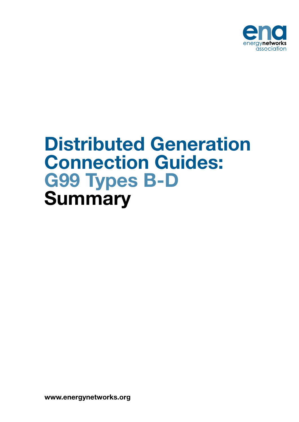

# Distributed Generation Connection Guides: G99 Types B-D **Summary**

www.energynetworks.org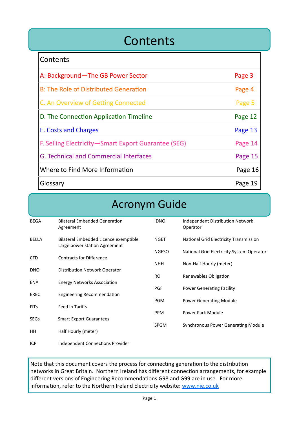### **Contents**

| <b>Contents</b>                                     |         |
|-----------------------------------------------------|---------|
| A: Background-The GB Power Sector                   | Page 3  |
| <b>B: The Role of Distributed Generation</b>        | Page 4  |
| C. An Overview of Getting Connected                 | Page 5  |
| D. The Connection Application Timeline              | Page 12 |
| E. Costs and Charges                                | Page 13 |
| F. Selling Electricity-Smart Export Guarantee (SEG) | Page 14 |
| G. Technical and Commercial Interfaces              | Page 15 |
| Where to Find More Information                      | Page 16 |
| Glossary                                            | Page 19 |

### Acronym Guide

| <b>BEGA</b>  | <b>Bilateral Embedded Generation</b><br>Agreement                      | <b>IDNO</b>  | Independent Distribution Network<br>Operator |
|--------------|------------------------------------------------------------------------|--------------|----------------------------------------------|
| <b>BELLA</b> | Bilateral Embedded Licence exemptible<br>Large power station Agreement | <b>NGET</b>  | National Grid Electricity Transmission       |
|              |                                                                        | <b>NGESO</b> | National Grid Electricity System Operator    |
| <b>CFD</b>   | <b>Contracts for Difference</b>                                        | <b>NHH</b>   | Non-Half Hourly (meter)                      |
| <b>DNO</b>   | Distribution Network Operator                                          |              |                                              |
| <b>ENA</b>   | <b>Energy Networks Association</b>                                     | <b>RO</b>    | Renewables Obligation                        |
|              |                                                                        | <b>PGF</b>   | <b>Power Generating Facility</b>             |
| EREC         | Engineering Recommendation                                             |              |                                              |
| <b>FITs</b>  | Feed in Tariffs                                                        | <b>PGM</b>   | <b>Power Generating Module</b>               |
|              |                                                                        | <b>PPM</b>   | Power Park Module                            |
| <b>SEGs</b>  | <b>Smart Export Guarantees</b>                                         |              |                                              |
|              |                                                                        | <b>SPGM</b>  | <b>Synchronous Power Generating Module</b>   |
| HH           | Half Hourly (meter)                                                    |              |                                              |
| <b>ICP</b>   | Independent Connections Provider                                       |              |                                              |

Note that this document covers the process for connecting generation to the distribution networks in Great Britain. Northern Ireland has different connection arrangements, for example different versions of Engineering Recommendations G98 and G99 are in use. For more information, refer to the Northern Ireland Electricity website: [www.nie.co.uk](http://www.nie.co.uk)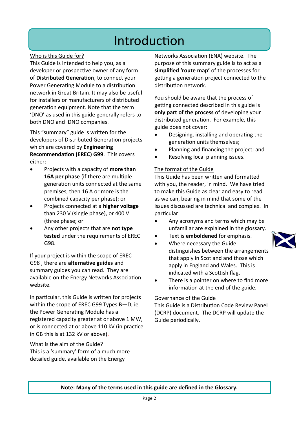## Introduction

### Who is this Guide for?

This Guide is intended to help you, as a developer or prospective owner of any form of **Distributed Generation**, to connect your Power Generating Module to a distribution network in Great Britain. It may also be useful for installers or manufacturers of distributed generation equipment. Note that the term 'DNO' as used in this guide generally refers to both DNO and IDNO companies.

This "summary" guide is written for the developers of Distributed Generation projects which are covered by **Engineering Recommendation (EREC) G99**. This covers either:

- Projects with a capacity of **more than 16A per phase** (if there are multiple generation units connected at the same premises, then 16 A or more is the combined capacity per phase); or
- Projects connected at a **higher voltage**  than 230 V (single phase), or 400 V (three phase; or
- Any other projects that are **not type tested** under the requirements of EREC G98.

If your project is within the scope of EREC G98 , there are **alternative guides** and summary guides you can read. They are available on the Energy Networks Association website.

In particular, this Guide is written for projects within the scope of EREC G99 Types B—D, ie the Power Generating Module has a registered capacity greater at or above 1 MW, or is connected at or above 110 kV (in practice in GB this is at 132 kV or above).

### What is the aim of the Guide?

This is a 'summary' form of a much more detailed guide, available on the Energy

Networks Association (ENA) website. The purpose of this summary guide is to act as a **simplified 'route map'** of the processes for getting a generation project connected to the distribution network.

You should be aware that the process of getting connected described in this guide is **only part of the process** of developing your distributed generation. For example, this guide does not cover:

- Designing, installing and operating the generation units themselves;
- Planning and financing the project; and
- Resolving local planning issues.

#### The format of the Guide

This Guide has been written and formatted with you, the reader, in mind. We have tried to make this Guide as clear and easy to read as we can, bearing in mind that some of the issues discussed are technical and complex. In particular:

- Any acronyms and terms which may be unfamiliar are explained in the glossary.
- Text is **emboldened** for emphasis.
- Where necessary the Guide distinguishes between the arrangements that apply in Scotland and those which apply in England and Wales. This is indicated with a Scottish flag.
- There is a pointer on where to find more information at the end of the guide.

#### Governance of the Guide

This Guide is a Distribution Code Review Panel (DCRP) document. The DCRP will update the Guide periodically.



#### **Note: Many of the terms used in this guide are defined in the Glossary.**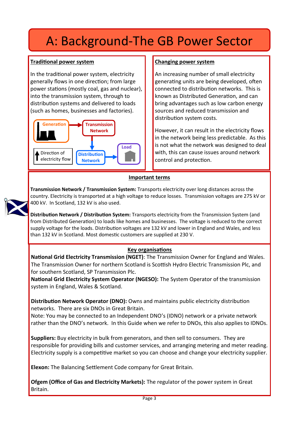## A: Background-The GB Power Sector

### **Traditional power system**

In the traditional power system, electricity generally flows in one direction; from large power stations (mostly coal, gas and nuclear), into the transmission system, through to distribution systems and delivered to loads (such as homes, businesses and factories).



### **Changing power system**

An increasing number of small electricity generating units are being developed, often connected to distribution networks. This is known as Distributed Generation, and can bring advantages such as low carbon energy sources and reduced transmission and distribution system costs.

However, it can result in the electricity flows in the network being less predictable. As this is not what the network was designed to deal with, this can cause issues around network control and protection.

### **Important terms**

**Transmission Network / Transmission System:** Transports electricity over long distances across the country. Electricity is transported at a high voltage to reduce losses. Transmission voltages are 275 kV or 400 kV. In Scotland, 132 kV is also used.

**Distribution Network / Distribution System:** Transports electricity from the Transmission System (and from Distributed Generation) to loads like homes and businesses. The voltage is reduced to the correct supply voltage for the loads. Distribution voltages are 132 kV and lower in England and Wales, and less than 132 kV in Scotland. Most domestic customers are supplied at 230 V.

### **Key organisations**

**National Grid Electricity Transmission (NGET)**: The Transmission Owner for England and Wales. The Transmission Owner for northern Scotland is Scottish Hydro Electric Transmission Plc, and for southern Scotland, SP Transmission Plc.

**National Grid Electricity System Operator (NGESO):** The System Operator of the transmission system in England, Wales & Scotland.

**Distribution Network Operator (DNO):** Owns and maintains public electricity distribution networks. There are six DNOs in Great Britain.

Note: You may be connected to an Independent DNO's (IDNO) network or a private network rather than the DNO's network. In this Guide when we refer to DNOs, this also applies to IDNOs.

**Suppliers:** Buy electricity in bulk from generators, and then sell to consumers. They are responsible for providing bills and customer services, and arranging metering and meter reading. Electricity supply is a competitive market so you can choose and change your electricity supplier.

**Elexon:** The Balancing Settlement Code company for Great Britain.

**Ofgem (Office of Gas and Electricity Markets):** The regulator of the power system in Great Britain.

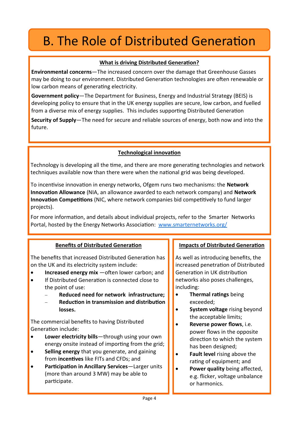## B. The Role of Distributed Generation

### **What is driving Distributed Generation?**

**Environmental concerns**—The increased concern over the damage that Greenhouse Gasses may be doing to our environment. Distributed Generation technologies are often renewable or low carbon means of generating electricity.

**Government policy**—The Department for Business, Energy and Industrial Strategy (BEIS) is developing policy to ensure that in the UK energy supplies are secure, low carbon, and fuelled from a diverse mix of energy supplies. This includes supporting Distributed Generation

**Security of Supply**—The need for secure and reliable sources of energy, both now and into the future.

### **Technological innovation**

Technology is developing all the time, and there are more generating technologies and network techniques available now than there were when the national grid was being developed.

To incentivise innovation in energy networks, Ofgem runs two mechanisms: the **Network Innovation Allowance** (NIA, an allowance awarded to each network company) and **Network Innovation Competitions** (NIC, where network companies bid competitively to fund larger projects).

For more information, and details about individual projects, refer to the Smarter Networks Portal, hosted by the Energy Networks Association: [www.smarternetworks.org/](http://www.smarternetworks.org/)

### **Benefits of Distributed Generation**

The benefits that increased Distributed Generation has on the UK and its electricity system include:

- **Increased energy mix** —often lower carbon; and
- If Distributed Generation is connected close to the point of use:
	- − **Reduced need for network infrastructure;**
	- − **Reduction in transmission and distribution losses.**

The commercial benefits to having Distributed Generation include:

- **Lower electricity bills**—through using your own energy onsite instead of importing from the grid;
- **Selling energy** that you generate, and gaining from **incentives** like FITs and CFDs; and
- **Participation in Ancillary Services**—Larger units (more than around 3 MW) may be able to participate.

### **Impacts of Distributed Generation**

As well as introducing benefits, the increased penetration of Distributed Generation in UK distribution networks also poses challenges, including:

- **Thermal ratings** being exceeded;
- **System voltage** rising beyond the acceptable limits;
- **Reverse power flows**, i.e. power flows in the opposite direction to which the system has been designed;
- **Fault level** rising above the rating of equipment; and
- **Power quality** being affected, e.g. flicker, voltage unbalance or harmonics.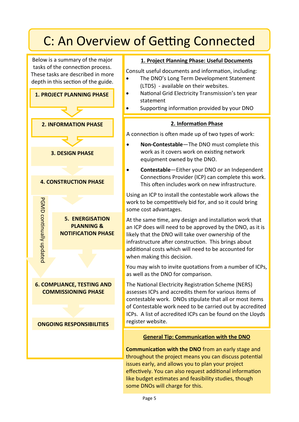Below is a summary of the major tasks of the connection process. These tasks are described in more depth in this section of the guide.



### **1. Project Planning Phase: Useful Documents**

Consult useful documents and information, including:

- The DNO's Long Term Development Statement (LTDS) - available on their websites.
- National Grid Electricity Transmission's ten year statement
- Supporting information provided by your DNO

### **2. Information Phase**

A connection is often made up of two types of work:

- **Non-Contestable**—The DNO must complete this work as it covers work on existing network equipment owned by the DNO.
- **Contestable**—Either your DNO or an Independent Connections Provider (ICP) can complete this work. This often includes work on new infrastructure.

Using an ICP to install the contestable work allows the work to be competitively bid for, and so it could bring some cost advantages.

At the same time, any design and installation work that an ICP does will need to be approved by the DNO, as it is likely that the DNO will take over ownership of the infrastructure after construction. This brings about additional costs which will need to be accounted for when making this decision.

You may wish to invite quotations from a number of ICPs, as well as the DNO for comparison.

The National Electricity Registration Scheme (NERS) assesses ICPs and accredits them for various items of contestable work. DNOs stipulate that all or most items of Contestable work need to be carried out by accredited ICPs. A list of accredited ICPs can be found on the Lloyds

### **General Tip: Communication with the DNO**

**Communication with the DNO** from an early stage and throughout the project means you can discuss potential issues early, and allows you to plan your project effectively. You can also request additional information like budget estimates and feasibility studies, though some DNOs will charge for this.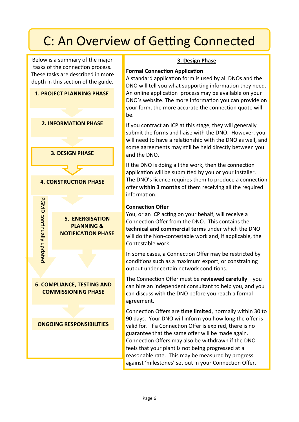Below is a summary of the major tasks of the connection process. These tasks are described in more depth in this section of the guide.



### **3. Design Phase**

### **Formal Connection Application**

A standard application form is used by all DNOs and the DNO will tell you what supporting information they need. An online application process may be available on your DNO's website. The more information you can provide on your form, the more accurate the connection quote will be.

If you contract an ICP at this stage, they will generally submit the forms and liaise with the DNO. However, you will need to have a relationship with the DNO as well, and some agreements may still be held directly between you and the DNO.

If the DNO is doing all the work, then the connection application will be submitted by you or your installer. The DNO's licence requires them to produce a connection offer **within 3 months** of them receiving all the required information.

### **Connection Offer**

You, or an ICP acting on your behalf, will receive a Connection Offer from the DNO. This contains the **technical and commercial terms** under which the DNO will do the Non-contestable work and, if applicable, the Contestable work.

In some cases, a Connection Offer may be restricted by conditions such as a maximum export, or constraining output under certain network conditions.

The Connection Offer must be **reviewed carefully**—you can hire an independent consultant to help you, and you can discuss with the DNO before you reach a formal agreement.

Connection Offers are **time limited**, normally within 30 to 90 days. Your DNO will inform you how long the offer is valid for. If a Connection Offer is expired, there is no guarantee that the same offer will be made again. Connection Offers may also be withdrawn if the DNO feels that your plant is not being progressed at a reasonable rate. This may be measured by progress against 'milestones' set out in your Connection Offer.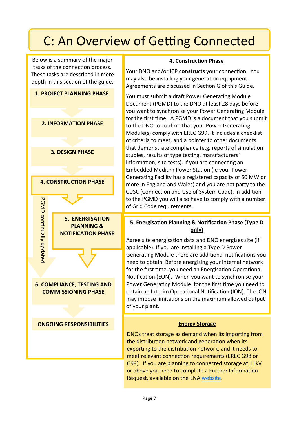Below is a summary of the major tasks of the connection process. These tasks are described in more depth in this section of the guide.



### **4. Construction Phase**

Your DNO and/or ICP **constructs** your connection. You may also be installing your generation equipment. Agreements are discussed in Section G of this Guide.

You must submit a draft Power Generating Module Document (PGMD) to the DNO at least 28 days before you want to synchronise your Power Generating Module for the first time. A PGMD is a document that you submit to the DNO to confirm that your Power Generating Module(s) comply with EREC G99. It includes a checklist of criteria to meet, and a pointer to other documents that demonstrate compliance (e.g. reports of simulation studies, results of type testing, manufacturers' information, site tests). If you are connecting an Embedded Medium Power Station (ie your Power Generating Facility has a registered capacity of 50 MW or more in England and Wales) and you are not party to the CUSC (Connection and Use of System Code), in addition to the PGMD you will also have to comply with a number of Grid Code requirements.

### **5. Energisation Planning & Notification Phase (Type D only)**

Agree site energisation data and DNO energises site (if applicable). If you are installing a Type D Power Generating Module there are additional notifications you need to obtain. Before energising your internal network for the first time, you need an Energisation Operational Notification (EON). When you want to synchronise your Power Generating Module for the first time you need to obtain an Interim Operational Notification (ION). The ION may impose limitations on the maximum allowed output of your plant.

### **Energy Storage**

DNOs treat storage as demand when its importing from the distribution network and generation when its exporting to the distribution network, and it needs to meet relevant connection requirements (EREC G98 or G99). If you are planning to connected storage at 11kV or above you need to complete a Further Information Request, available on the ENA [website.](http://www.energynetworks.org/electricity/futures/energy-storage/energy-storage-overview.html)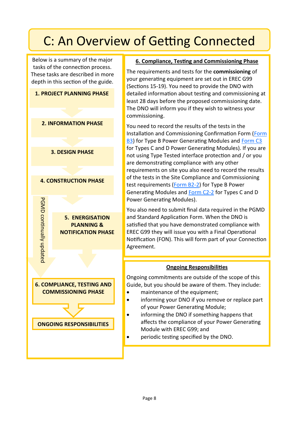Below is a summary of the major tasks of the connection process. These tasks are described in more depth in this section of the guide.



### **6. Compliance, Testing and Commissioning Phase**

The requirements and tests for the **commissioning** of your generating equipment are set out in EREC G99 (Sections 15-19). You need to provide the DNO with detailed information about testing and commissioning at least 28 days before the proposed commissioning date. The DNO will inform you if they wish to witness your commissioning.

You need to record the results of the tests in the Installation and Commissioning Confirmation Form ([Form](https://www.energynetworks.org/assets/images/Resource%20library/ENA_EREC_G99_Issue_1_Amendment_8_(2021)0.1.pdf)  [B3\)](https://www.energynetworks.org/assets/images/Resource%20library/ENA_EREC_G99_Issue_1_Amendment_8_(2021)0.1.pdf) for Type B Power Generating Modules and [Form C3](https://www.energynetworks.org/assets/images/Resource%20library/ENA_EREC_G99_Issue_1_Amendment_8_(2021)0.1.pdf) for Types C and D Power Generating Modules). If you are not using Type Tested interface protection and / or you are demonstrating compliance with any other requirements on site you also need to record the results of the tests in the Site Compliance and Commissioning test requirements [\(Form B2](https://www.energynetworks.org/assets/images/Resource%20library/ENA_EREC_G99_Issue_1_Amendment_8_(2021)0.1.pdf)-2) for Type B Power Generating Modules and [Form C2](https://www.energynetworks.org/assets/images/Resource%20library/ENA_EREC_G99_Issue_1_Amendment_8_(2021)0.1.pdf)-2 for Types C and D Power Generating Modules).

You also need to submit final data required in the PGMD and Standard Application Form. When the DNO is satisfied that you have demonstrated compliance with EREC G99 they will issue you with a Final Operational Notification (FON). This will form part of your Connection Agreement.

### **Ongoing Responsibilities**

Ongoing commitments are outside of the scope of this Guide, but you should be aware of them. They include:

- maintenance of the equipment;
- informing your DNO if you remove or replace part of your Power Generating Module;
- informing the DNO if something happens that affects the compliance of your Power Generating Module with EREC G99; and
- periodic testing specified by the DNO.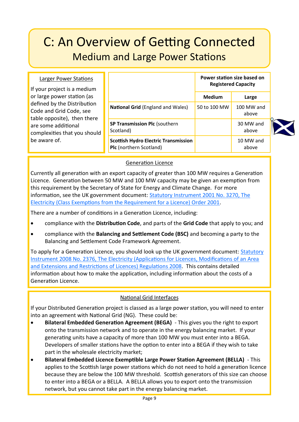## C: An Overview of Getting Connected Medium and Large Power Stations

#### Larger Power Stations

If your project is a medium or large power station (as defined by the Distribution Code and Grid Code, see table opposite), then there are some additional complexities that you should be aware of.

|                                                                               | Power station size based on<br><b>Registered Capacity</b> |                       |
|-------------------------------------------------------------------------------|-----------------------------------------------------------|-----------------------|
|                                                                               | <b>Medium</b>                                             | Large                 |
| <b>National Grid (England and Wales)</b>                                      | 50 to 100 MW                                              | $100$ MW and<br>above |
| <b>SP Transmission Plc (southern</b><br>Scotland)                             |                                                           | 30 MW and<br>above    |
| <b>Scottish Hydro Electric Transmission</b><br><b>Plc</b> (northern Scotland) |                                                           | 10 MW and<br>above    |



Currently all generation with an export capacity of greater than 100 MW requires a Generation Licence. Generation between 50 MW and 100 MW capacity may be given an exemption from this requirement by the Secretary of State for Energy and Climate Change. For more information, see the UK government document: [Statutory Instrument 2001 No. 3270, The](http://www.legislation.gov.uk/uksi/2001/3270/contents/made)  [Electricity \(Class Exemptions from the Requirement for a Licence\) Order 2001.](http://www.legislation.gov.uk/uksi/2001/3270/contents/made) 

There are a number of conditions in a Generation Licence, including:

- compliance with the **Distribution Code**, and parts of the **Grid Code** that apply to you; and
- compliance with the **Balancing and Settlement Code (BSC)** and becoming a party to the Balancing and Settlement Code Framework Agreement.

To apply for a Generation Licence, you should look up the UK government document: [Statutory](http://www.legislation.gov.uk/uksi/2008/2376/contents/made)  [Instrument 2008 No. 2376, The Electricity \(Applications for Licences, Modifications of an Area](http://www.legislation.gov.uk/uksi/2008/2376/contents/made)  [and Extensions and Restrictions of Licences\) Regulations 2008.](http://www.legislation.gov.uk/uksi/2008/2376/contents/made) This contains detailed information about how to make the application, including information about the costs of a Generation Licence.

### National Grid Interfaces

If your Distributed Generation project is classed as a large power station, you will need to enter into an agreement with National Grid (NG). These could be:

- **Bilateral Embedded Generation Agreement (BEGA)**  This gives you the right to export onto the transmission network and to operate in the energy balancing market. If your generating units have a capacity of more than 100 MW you must enter into a BEGA. Developers of smaller stations have the option to enter into a BEGA if they wish to take part in the wholesale electricity market;
- **Bilateral Embedded Licence Exemptible Large Power Station Agreement (BELLA)**  This applies to the Scottish large power stations which do not need to hold a generation licence because they are below the 100 MW threshold. Scottish generators of this size can choose to enter into a BEGA or a BELLA. A BELLA allows you to export onto the transmission network, but you cannot take part in the energy balancing market.

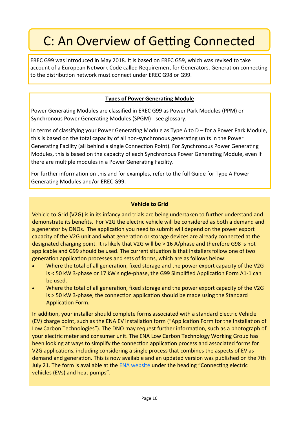EREC G99 was introduced in May 2018. It is based on EREC G59, which was revised to take account of a European Network Code called Requirement for Generators. Generation connecting to the distribution network must connect under EREC G98 or G99.

### **Types of Power Generating Module**

Power Generating Modules are classified in EREC G99 as Power Park Modules (PPM) or Synchronous Power Generating Modules (SPGM) - see glossary.

In terms of classifying your Power Generating Module as Type A to D – for a Power Park Module, this is based on the total capacity of all non-synchronous generating units in the Power Generating Facility (all behind a single Connection Point). For Synchronous Power Generating Modules, this is based on the capacity of each Synchronous Power Generating Module, even if there are multiple modules in a Power Generating Facility.

For further information on this and for examples, refer to the full Guide for Type A Power Generating Modules and/or EREC G99.

### **Vehicle to Grid**

Vehicle to Grid (V2G) is in its infancy and trials are being undertaken to further understand and demonstrate its benefits. For V2G the electric vehicle will be considered as both a demand and a generator by DNOs. The application you need to submit will depend on the power export capacity of the V2G unit and what generation or storage devices are already connected at the designated charging point. It is likely that V2G will be > 16 A/phase and therefore G98 is not applicable and G99 should be used. The current situation is that installers follow one of two generation application processes and sets of forms, which are as follows below:

- Where the total of all generation, fixed storage and the power export capacity of the V2G is < 50 kW 3-phase or 17 kW single-phase, the G99 Simplified Application Form A1-1 can be used.
- Where the total of all generation, fixed storage and the power export capacity of the V2G is > 50 kW 3-phase, the connection application should be made using the Standard Application Form.

In addition, your installer should complete forms associated with a standard Electric Vehicle (EV) charge point, such as the ENA EV installation form ("Application Form for the Installation of Low Carbon Technologies"). The DNO may request further information, such as a photograph of your electric meter and consumer unit. The ENA Low Carbon Technology Working Group has been looking at ways to simplify the connection application process and associated forms for V2G applications, including considering a single process that combines the aspects of EV as demand and generation. This is now available and an updated version was published on the 7th July 21. The form is available at the [ENA website](https://www.energynetworks.org/operating-the-networks/connecting-to-the-networks) under the heading "Connecting electric vehicles (EVs) and heat pumps".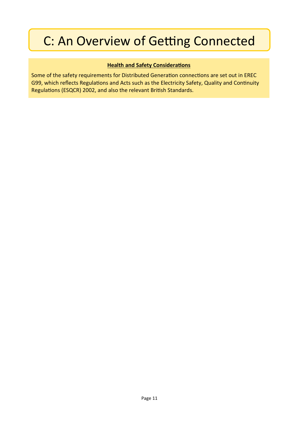### **Health and Safety Considerations**

Some of the safety requirements for Distributed Generation connections are set out in EREC G99, which reflects Regulations and Acts such as the Electricity Safety, Quality and Continuity Regulations (ESQCR) 2002, and also the relevant British Standards.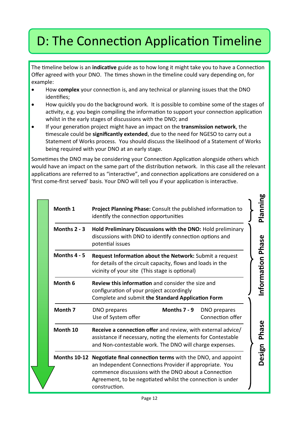## D: The Connection Application Timeline

The timeline below is an **indicative** guide as to how long it might take you to have a Connection Offer agreed with your DNO. The times shown in the timeline could vary depending on, for example:

- How **complex** your connection is, and any technical or planning issues that the DNO identifies;
- How quickly you do the background work. It is possible to combine some of the stages of activity, e.g. you begin compiling the information to support your connection application whilst in the early stages of discussions with the DNO; and
- If your generation project might have an impact on the **transmission network**, the timescale could be **significantly extended**, due to the need for NGESO to carry out a Statement of Works process. You should discuss the likelihood of a Statement of Works being required with your DNO at an early stage.

Sometimes the DNO may be considering your Connection Application alongside others which would have an impact on the same part of the distribution network. In this case all the relevant applications are referred to as "interactive", and connection applications are considered on a 'first come-first served' basis. Your DNO will tell you if your application is interactive.

**bo** 

| Month 1        | <b>Project Planning Phase:</b> Consult the published information to<br>identify the connection opportunities                                                                                                                                                                     |                                  | Planning         |
|----------------|----------------------------------------------------------------------------------------------------------------------------------------------------------------------------------------------------------------------------------------------------------------------------------|----------------------------------|------------------|
| Months $2 - 3$ | Hold Preliminary Discussions with the DNO: Hold preliminary<br>discussions with DNO to identify connection options and<br>potential issues                                                                                                                                       |                                  |                  |
| Months 4 - 5   | <b>Request Information about the Network:</b> Submit a request<br>for details of the circuit capacity, flows and loads in the<br>vicinity of your site (This stage is optional)                                                                                                  |                                  | nformation Phase |
| Month 6        | <b>Review this information</b> and consider the size and<br>configuration of your project accordingly<br>Complete and submit the Standard Application Form                                                                                                                       |                                  |                  |
| Month 7        | Months 7 - 9<br>DNO prepares<br>Use of System offer                                                                                                                                                                                                                              | DNO prepares<br>Connection offer |                  |
| Month 10       | <b>Receive a connection offer</b> and review, with external advice/<br>assistance if necessary, noting the elements for Contestable<br>and Non-contestable work. The DNO will charge expenses.                                                                                   |                                  | Phase            |
|                | <b>Months 10-12 Negotiate final connection terms</b> with the DNO, and appoint<br>an Independent Connections Provider if appropriate. You<br>commence discussions with the DNO about a Connection<br>Agreement, to be negotiated whilst the connection is under<br>construction. |                                  | Design           |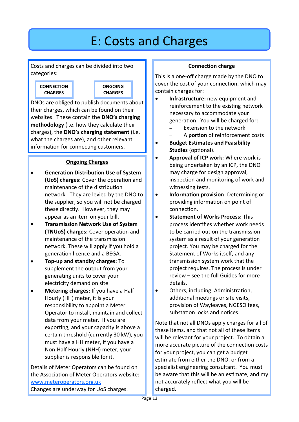## E: Costs and Charges

Costs and charges can be divided into two categories:





DNOs are obliged to publish documents about their charges, which can be found on their websites. These contain the **DNO's charging methodology** (i.e. how they calculate their charges), the **DNO's charging statement** (i.e. what the charges are), and other relevant information for connecting customers.

### **Ongoing Charges**

- **Generation Distribution Use of System (UoS) charges:** Cover the operation and maintenance of the distribution network. They are levied by the DNO to the supplier, so you will not be charged these directly. However, they may appear as an item on your bill.
- **Transmission Network Use of System (TNUoS) charges:** Cover operation and maintenance of the transmission network. These will apply if you hold a generation licence and a BEGA.
- **Top-up and standby charges:** To supplement the output from your generating units to cover your electricity demand on site.
- **Metering charges:** If you have a Half Hourly (HH) meter, it is your responsibility to appoint a Meter Operator to install, maintain and collect data from your meter. If you are exporting, and your capacity is above a certain threshold (currently 30 kW), you must have a HH meter, If you have a Non-Half Hourly (NHH) meter, your supplier is responsible for it.

Details of Meter Operators can be found on the Association of Meter Operators website: [www.meteroperators.org.uk](http://www.meteroperators.org.uk) Changes are underway for UoS charges.

### **Connection charge**

This is a one-off charge made by the DNO to cover the cost of your connection, which may contain charges for:

- **Infrastructure:** new equipment and reinforcement to the existing network necessary to accommodate your generation. You will be charged for:
	- Extension to the network
	- − A **portion** of reinforcement costs
- **Budget Estimates and Feasibility Studies** (optional).
- **Approval of ICP work:** Where work is being undertaken by an ICP, the DNO may charge for design approval, inspection and monitoring of work and witnessing tests.
- **Information provision**: Determining or providing information on point of connection.
- **Statement of Works Process:** This process identifies whether work needs to be carried out on the transmission system as a result of your generation project. You may be charged for the Statement of Works itself, and any transmission system work that the project requires. The process is under review – see the full Guides for more details.
- Others, including: Administration, additional meetings or site visits, provision of Wayleaves, NGESO fees, substation locks and notices.

Note that not all DNOs apply charges for all of these items, and that not all of these items will be relevant for your project. To obtain a more accurate picture of the connection costs for your project, you can get a budget estimate from either the DNO, or from a specialist engineering consultant. You must be aware that this will be an estimate, and my not accurately reflect what you will be charged.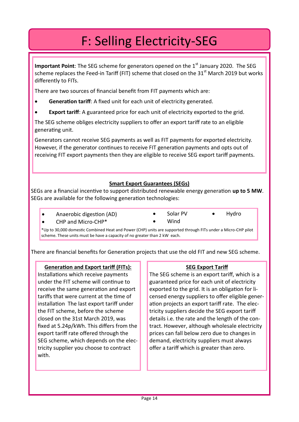## F: Selling Electricity-SEG

**Important Point**: The SEG scheme for generators opened on the 1<sup>st</sup> January 2020. The SEG scheme replaces the Feed-in Tariff (FIT) scheme that closed on the  $31<sup>st</sup>$  March 2019 but works differently to FITs.

There are two sources of financial benefit from FIT payments which are:

- **Generation tariff:** A fixed unit for each unit of electricity generated.
- **Export tariff:** A guaranteed price for each unit of electricity exported to the grid.

The SEG scheme obliges electricity suppliers to offer an export tariff rate to an eligible generating unit.

Generators cannot receive SEG payments as well as FIT payments for exported electricity. However, if the generator continues to receive FIT generation payments and opts out of receiving FIT export payments then they are eligible to receive SEG export tariff payments.

### **Smart Export Guarantees (SEGs)**

SEGs are a financial incentive to support distributed renewable energy generation **up to 5 MW**. SEGs are available for the following generation technologies:

- Anaerobic digestion (AD)
- Solar PV
- Wind
- 

• CHP and Micro-CHP\*

- 
- 
- 
- Hydro

\*Up to 30,000 domestic Combined Heat and Power (CHP) units are supported through FITs under a Micro-CHP pilot scheme. These units must be have a capacity of no greater than 2 kW each.

There are financial benefits for Generation projects that use the old FIT and new SEG scheme.

### **Generation and Export tariff (FITs):**

Installations which receive payments under the FIT scheme will continue to receive the same generation and export tariffs that were current at the time of installation The last export tariff under the FIT scheme, before the scheme closed on the 31st March 2019, was fixed at 5.24p/kWh. This differs from the export tariff rate offered through the SEG scheme, which depends on the electricity supplier you choose to contract with.

### **SEG Export Tariff**

The SEG scheme is an export tariff, which is a guaranteed price for each unit of electricity exported to the grid. It is an obligation for licensed energy suppliers to offer eligible generation projects an export tariff rate. The electricity suppliers decide the SEG export tariff details i.e. the rate and the length of the contract. However, although wholesale electricity prices can fall below zero due to changes in demand, electricity suppliers must always offer a tariff which is greater than zero.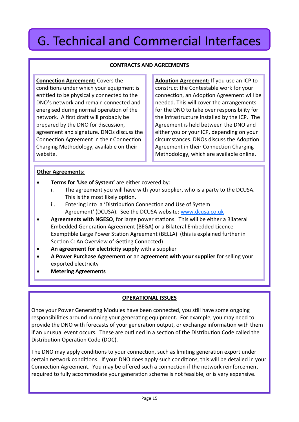## G. Technical and Commercial Interfaces

### **CONTRACTS AND AGREEMENTS**

**Connection Agreement:** Covers the conditions under which your equipment is entitled to be physically connected to the DNO's network and remain connected and energised during normal operation of the network. A first draft will probably be prepared by the DNO for discussion, agreement and signature. DNOs discuss the Connection Agreement in their Connection Charging Methodology, available on their website.

**Adoption Agreement:** If you use an ICP to construct the Contestable work for your connection, an Adoption Agreement will be needed. This will cover the arrangements for the DNO to take over responsibility for the infrastructure installed by the ICP. The Agreement is held between the DNO and either you or your ICP, depending on your circumstances. DNOs discuss the Adoption Agreement in their Connection Charging Methodology, which are available online.

#### **Other Agreements:**

- **Terms for 'Use of System'** are either covered by:
	- i. The agreement you will have with your supplier, who is a party to the DCUSA. This is the most likely option.
	- ii. Entering into a 'Distribution Connection and Use of System Agreement' (DCUSA). See the DCUSA website: [www.dcusa.co.uk](http://www.dcusa.co.uk/SitePages/Home.aspx)
- **Agreements with NGESO**, for large power stations. This will be either a Bilateral Embedded Generation Agreement (BEGA) or a Bilateral Embedded Licence Exemptible Large Power Station Agreement (BELLA) (this is explained further in Section C: An Overview of Getting Connected)
- **An agreement for electricity supply** with a supplier
- **A Power Purchase Agreement** or an **agreement with your supplier** for selling your exported electricity
- **Metering Agreements**

### **OPERATIONAL ISSUES**

Once your Power Generating Modules have been connected, you still have some ongoing responsibilities around running your generating equipment. For example, you may need to provide the DNO with forecasts of your generation output, or exchange information with them if an unusual event occurs. These are outlined in a section of the Distribution Code called the Distribution Operation Code (DOC).

The DNO may apply conditions to your connection, such as limiting generation export under certain network conditions. If your DNO does apply such conditions, this will be detailed in your Connection Agreement. You may be offered such a connection if the network reinforcement required to fully accommodate your generation scheme is not feasible, or is very expensive.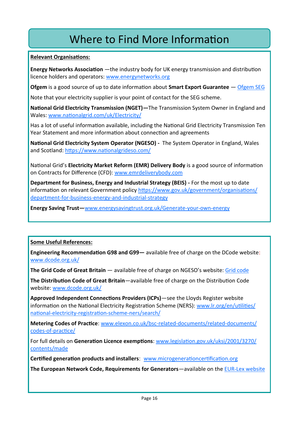### Where to Find More Information

#### **Relevant Organisations:**

**Energy Networks Association** —the industry body for UK energy transmission and distribution licence holders and operators: [www.energynetworks.org](http://www.energynetworks.org/)

**Ofgem** is a good source of up to date information about **Smart Export Guarantee** — [Ofgem SEG](https://www.ofgem.gov.uk/environmental-and-social-schemes/smart-export-guarantee-seg/generators)

Note that your electricity supplier is your point of contact for the SEG scheme.

**National Grid Electricity Transmission (NGET)—**The Transmission System Owner in England and Wales: [www.nationalgrid.com/uk/Electricity/](https://www.nationalgrid.com/uk/electricity-transmission/)

Has a lot of useful information available, including the National Grid Electricity Transmission Ten Year Statement and more information about connection and agreements

**National Grid Electricity System Operator (NGESO) -** The System Operator in England, Wales and Scotland: <https://www.nationalgrideso.com/>

National Grid's **Electricity Market Reform (EMR) Delivery Body** is a good source of information on Contracts for Difference (CFD): [www.emrdeliverybody.com](https://www.emrdeliverybody.com/cfd/home.aspx)

**Department for Business, Energy and Industrial Strategy (BEIS) -** For the most up to date information on relevant Government policy [https://www.gov.uk/government/organisations/](https://www.gov.uk/government/organisations/department-for-business-energy-and-industrial-strategy) [department](https://www.gov.uk/government/organisations/department-for-business-energy-and-industrial-strategy)-for-business-energy-and-industrial-strategy

**Energy Saving Trust—**[www.energysavingtrust.org.uk/Generate](https://energysavingtrust.org.uk/could-you-generate-your-own-energy/)-your-own-energy

### **Some Useful References:**

**Engineering Recommendation G98 and G99—** available free of charge on the DCode website: [www.dcode.org.uk/](http://www.dcode.org.uk/)

**The Grid Code of Great Britain** — available free of charge on NGESO's website: [Grid code](https://www.nationalgrideso.com/industry-information/codes/grid-code) 

**The Distribution Code of Great Britain**—available free of charge on the Distribution Code website: [www.dcode.org.uk/](http://www.dcode.org.uk/)

**Approved Independent Connections Providers (ICPs)**—see the Lloyds Register website information on the National Electricity Registration Scheme (NERS): [www.lr.org/en/utilities/](https://www.lr.org/en/utilities/national-electricity-registration-scheme-ners/search/) national-electricity-registration-scheme-[ners/search/](https://www.lr.org/en/utilities/national-electricity-registration-scheme-ners/search/)

**Metering Codes of Practice**: [www.elexon.co.uk/bsc](http://www.elexon.co.uk/bsc-related-documents/related-documents/codes-of-practice/)-related-documents/related-documents/ codes-of-[practice/](http://www.elexon.co.uk/bsc-related-documents/related-documents/codes-of-practice/)

For full details on **Generation Licence exemptions**: [www.legislation.gov.uk/uksi/2001/3270/](http://www.legislation.gov.uk/uksi/2001/3270/contents/made) [contents/made](http://www.legislation.gov.uk/uksi/2001/3270/contents/made)

**Certified generation products and installers**: [www.microgenerationcertification.org](http://www.microgenerationcertification.org/)

**The European Network Code, Requirements for Generators**—available on the EUR-[Lex website](https://eur-lex.europa.eu/legal-content/EN/TXT/?uri=CELEX%3A32016R0631)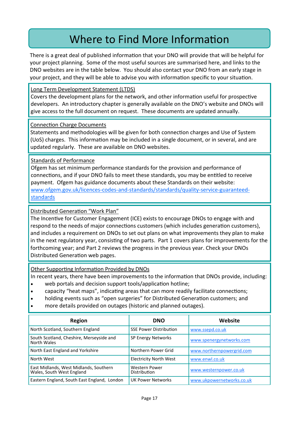### Where to Find More Information

There is a great deal of published information that your DNO will provide that will be helpful for your project planning. Some of the most useful sources are summarised here, and links to the DNO websites are in the table below. You should also contact your DNO from an early stage in your project, and they will be able to advise you with information specific to your situation.

Long Term Development Statement (LTDS)

Covers the development plans for the network, and other information useful for prospective developers. An introductory chapter is generally available on the DNO's website and DNOs will give access to the full document on request. These documents are updated annually.

Connection Charge Documents

Statements and methodologies will be given for both connection charges and Use of System (UoS) charges. This information may be included in a single document, or in several, and are updated regularly. These are available on DNO websites.

#### Standards of Performance

Ofgem has set minimum performance standards for the provision and performance of connections, and if your DNO fails to meet these standards, you may be entitled to receive payment. Ofgem has guidance documents about these Standards on their website: www.ofgem.gov.uk/licences-codes-and-[standards/standards/quality](https://www.ofgem.gov.uk/licences-codes-and-standards/standards/quality-service-guaranteed-standards)-service-guaranteed**[standards](https://www.ofgem.gov.uk/licences-codes-and-standards/standards/quality-service-guaranteed-standards)** 

Distributed Generation "Work Plan"

The Incentive for Customer Engagement (ICE) exists to encourage DNOs to engage with and respond to the needs of major connections customers (which includes generation customers), and includes a requirement on DNOs to set out plans on what improvements they plan to make in the next regulatory year, consisting of two parts. Part 1 covers plans for improvements for the forthcoming year; and Part 2 reviews the progress in the previous year. Check your DNOs Distributed Generation web pages.

Other Supporting Information Provided by DNOs

In recent years, there have been improvements to the information that DNOs provide, including:

- web portals and decision support tools/application hotline;
- capacity "heat maps", indicating areas that can more readily facilitate connections;
- holding events such as "open surgeries" for Distributed Generation customers; and
- more details provided on outages (historic and planned outages).

| <b>Region</b>                                                       | <b>DNO</b>                    | Website                   |
|---------------------------------------------------------------------|-------------------------------|---------------------------|
| North Scotland, Southern England                                    | <b>SSE Power Distribution</b> | www.ssepd.co.uk           |
| South Scotland, Cheshire, Merseyside and<br>North Wales             | <b>SP Energy Networks</b>     | www.spenergynetworks.com  |
| North East England and Yorkshire                                    | Northern Power Grid           | www.northernpowergrid.com |
| North West                                                          | <b>Electricity North West</b> | www.enwl.co.uk            |
| East Midlands, West Midlands, Southern<br>Wales, South West England | Western Power<br>Distribution | www.westernpower.co.uk    |
| Eastern England, South East England, London                         | <b>UK Power Networks</b>      | www.ukpowernetworks.co.uk |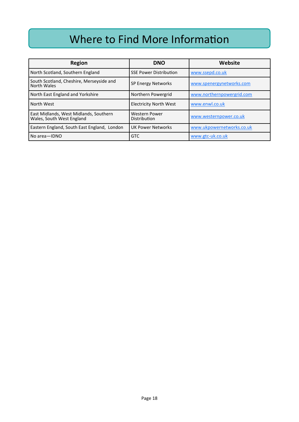### Where to Find More Information

| <b>Region</b>                                                       | <b>DNO</b>                    | Website                   |
|---------------------------------------------------------------------|-------------------------------|---------------------------|
| North Scotland, Southern England                                    | <b>SSE Power Distribution</b> | www.ssepd.co.uk           |
| South Scotland, Cheshire, Merseyside and<br>North Wales             | SP Energy Networks            | www.spenergynetworks.com  |
| North East England and Yorkshire                                    | Northern Powergrid            | www.northernpowergrid.com |
| North West                                                          | <b>Electricity North West</b> | www.enwl.co.uk            |
| East Midlands, West Midlands, Southern<br>Wales, South West England | Western Power<br>Distribution | www.westernpower.co.uk    |
| Eastern England, South East England, London                         | <b>UK Power Networks</b>      | www.ukpowernetworks.co.uk |
| No area-IDNO                                                        | <b>GTC</b>                    | www.gtc-uk.co.uk          |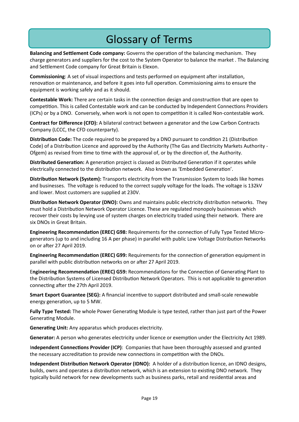### Glossary of Terms

**Balancing and Settlement Code company:** Governs the operation of the balancing mechanism. They charge generators and suppliers for the cost to the System Operator to balance the market . The Balancing and Settlement Code company for Great Britain is Elexon.

**Commissioning**: A set of visual inspections and tests performed on equipment after installation, renovation or maintenance, and before it goes into full operation. Commissioning aims to ensure the equipment is working safely and as it should.

**Contestable Work:** There are certain tasks in the connection design and construction that are open to competition. This is called Contestable work and can be conducted by Independent Connections Providers (ICPs) or by a DNO. Conversely, when work is not open to competition it is called Non-contestable work.

**Contract for Difference (CFD):** A bilateral contract between a generator and the Low Carbon Contracts Company (LCCC, the CFD counterparty).

**Distribution Code:** The code required to be prepared by a DNO pursuant to condition 21 (Distribution Code) of a Distribution Licence and approved by the Authority (The Gas and Electricity Markets Authority - Ofgem) as revised from time to time with the approval of, or by the direction of, the Authority.

**Distributed Generation:** A generation project is classed as Distributed Generation if it operates while electrically connected to the distribution network. Also known as 'Embedded Generation'.

**Distribution Network (System):** Transports electricity from the Transmission System to loads like homes and businesses. The voltage is reduced to the correct supply voltage for the loads. The voltage is 132kV and lower. Most customers are supplied at 230V.

**Distribution Network Operator (DNO):** Owns and maintains public electricity distribution networks. They must hold a Distribution Network Operator Licence. These are regulated monopoly businesses which recover their costs by levying use of system charges on electricity traded using their network. There are six DNOs in Great Britain.

**Engineering Recommendation (EREC) G98:** Requirements for the connection of Fully Type Tested Microgenerators (up to and including 16 A per phase) in parallel with public Low Voltage Distribution Networks on or after 27 April 2019.

**Engineering Recommendation (EREC) G99:** Requirements for the connection of generation equipment in parallel with public distribution networks on or after 27 April 2019.

E**ngineering Recommendation (EREC) G59:** Recommendations for the Connection of Generating Plant to the Distribution Systems of Licensed Distribution Network Operators. This is not applicable to generation connecting after the 27th April 2019.

**Smart Export Guarantee (SEG):** A financial incentive to support distributed and small-scale renewable energy generation, up to 5 MW.

**Fully Type Tested:** The whole Power Generating Module is type tested, rather than just part of the Power Generating Module.

**Generating Unit:** Any apparatus which produces electricity.

**Generator:** A person who generates electricity under licence or exemption under the Electricity Act 1989.

I**ndependent Connections Provider (ICP)**: Companies that have been thoroughly assessed and granted the necessary accreditation to provide new connections in competition with the DNOs.

**Independent Distribution Network Operator (IDNO):** A holder of a distribution licence, an IDNO designs, builds, owns and operates a distribution network, which is an extension to existing DNO network. They typically build network for new developments such as business parks, retail and residential areas and